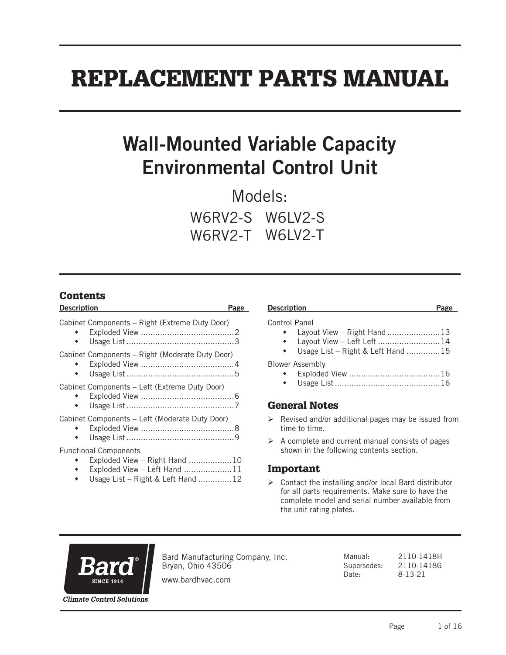# REPLACEMENT PARTS MANUAL

# Wall-Mounted Variable Capacity Environmental Control Unit

Models: W6RV2-S W6LV2-S W6RV2-T W6LV2-T

#### **Contents**

| <b>Description</b>                                                                                                                 | Page |
|------------------------------------------------------------------------------------------------------------------------------------|------|
| Cabinet Components - Right (Extreme Duty Door)                                                                                     |      |
| Cabinet Components – Right (Moderate Duty Door)                                                                                    |      |
| Cabinet Components - Left (Extreme Duty Door)                                                                                      |      |
| Cabinet Components - Left (Moderate Duty Door)                                                                                     |      |
| <b>Functional Components</b><br>Exploded View - Right Hand 10<br>Exploded View - Left Hand 11<br>Usage List – Right & Left Hand 12 |      |

#### Description **Page**

#### Control Panel

- Layout View Right Hand ......................13
- Layout View Left Left ..........................14
- Usage List Right & Left Hand ..............15

Blower Assembly

- Exploded View ......................................16
- Usage List ............................................16

#### General Notes

- $\triangleright$  Revised and/or additional pages may be issued from time to time.
- $\triangleright$  A complete and current manual consists of pages shown in the following contents section.

#### Important

 $\triangleright$  Contact the installing and/or local Bard distributor for all parts requirements. Make sure to have the complete model and serial number available from the unit rating plates.



Bard Manufacturing Company, Inc. Bryan, Ohio 43506

Manual: 2110-1418H Supersedes: 2110-1418G Date: 8-13-21

www.bardhvac.com

**Climate Control Solutions**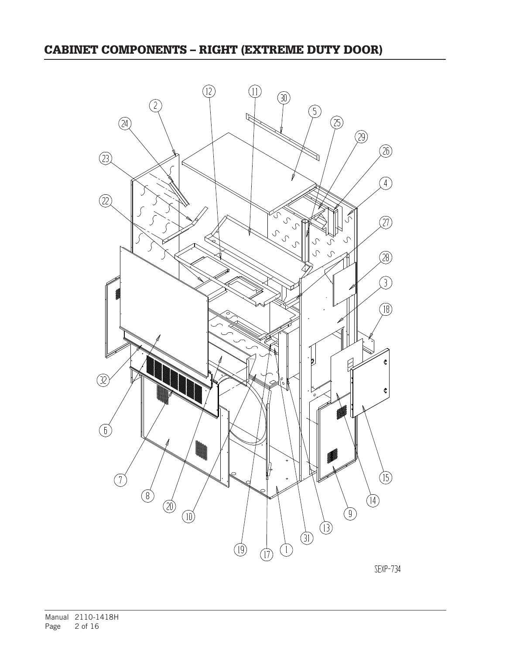## CABINET COMPONENTS – RIGHT (EXTREME DUTY DOOR)



SEXP-734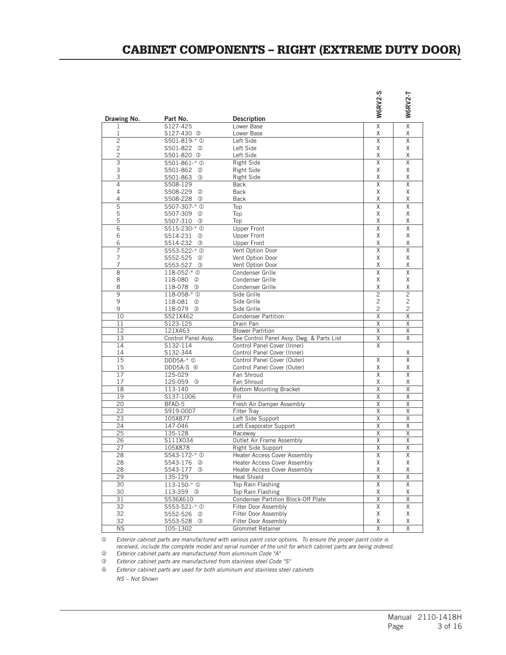### CABINET COMPONENTS – RIGHT (EXTREME DUTY DOOR)

| Drawing No.    | Part No.                                   | <b>Description</b>                        | <b>W6RV2-S</b>          | <b>W6RV2-T</b>          |
|----------------|--------------------------------------------|-------------------------------------------|-------------------------|-------------------------|
| 1              | S127-425                                   | Lower Base                                | $\overline{\mathsf{x}}$ | $\overline{\mathsf{x}}$ |
| 1              | S127-430 3                                 | Lower Base                                | χ                       | Χ                       |
| $\overline{2}$ | S501-819-* <sup>0</sup>                    | Left Side                                 | Χ                       | Χ                       |
| $\overline{c}$ | S501-822 <sup>②</sup>                      | Left Side                                 | χ                       | Χ                       |
| $\overline{c}$ | S501-820 3                                 | Left Side                                 | χ                       | χ                       |
| $\overline{3}$ | S501-861-* <sup>0</sup>                    | <b>Right Side</b>                         | X                       | X                       |
| 3              | S501-862<br>$^{\circledR}$                 | <b>Right Side</b>                         | Χ                       | Χ                       |
| 3              | S501-863 <sup>3</sup>                      | <b>Right Side</b>                         | Χ                       | χ                       |
| 4              | S508-129                                   | <b>Back</b>                               | Χ                       | Χ                       |
| 4              | S508-229<br>$^{\circledR}$                 | <b>Back</b>                               | χ                       | Χ                       |
| 4<br>5         | S508-228<br>③                              | Back                                      | χ                       | χ<br>X                  |
| 5              | \$507-307-* <sup>0</sup>                   | Top                                       | Χ<br>Χ                  | Χ                       |
| 5              | S507-309<br>②<br>S507-310<br>$\circled{3}$ | Top<br>Top                                | χ                       | χ                       |
| $\overline{6}$ | \$515-230-* <sup>0</sup>                   | <b>Upper Front</b>                        | X                       | X                       |
| 6              | S514-231<br>2                              | <b>Upper Front</b>                        | χ                       | Χ                       |
| 6              | S514-232<br>③                              | <b>Upper Front</b>                        | Χ                       | χ                       |
| 7              | \$553-522-* <sup>0</sup>                   | Vent Option Door                          | Χ                       | Χ                       |
| 7              | S552-525<br>$^{\circledR}$                 | Vent Option Door                          | χ                       | Χ                       |
| 7              | S553-527<br>③                              | Vent Option Door                          | Χ                       | χ                       |
| 8              | 118-052-* <sup>0</sup>                     | Condenser Grille                          | X                       | Χ                       |
| 8              | 118-080 <sup>2</sup>                       | Condenser Grille                          | χ                       | Χ                       |
| 8              | 118-078 3                                  | Condenser Grille                          | Χ                       | χ                       |
| 9              | 118-058-* <sup>0</sup>                     | Side Grille                               | $\overline{c}$          | $\overline{c}$          |
| 9              | 118-081 <sup>②</sup>                       | Side Grille                               | $\overline{c}$          | $\overline{c}$          |
| 9              | 118-079<br>- 3                             | Side Grille                               | 2                       | 2                       |
| 10             | S521X462                                   | <b>Condenser Partition</b>                | Χ                       | Χ                       |
| 11             | S123-125                                   | Drain Pan                                 | Χ                       | Χ                       |
| 12             | 121X463                                    | <b>Blower Partition</b>                   | Χ                       | χ                       |
| 13             | Control Panel Assy.                        | See Control Panel Assy. Dwg. & Parts List | Χ                       | Χ                       |
| 14             | S132-114                                   | Control Panel Cover (Inner)               | X                       |                         |
| 14             | S132-344                                   | Control Panel Cover (Inner)               |                         | Χ                       |
| 15             | $DDD5A-*$ <sup><math>\circ</math></sup>    | Control Panel Cover (Outer)               | Χ                       | Χ                       |
| 15             | DDD5A-S 4                                  | Control Panel Cover (Outer)               | Χ                       | χ                       |
| 17             | 125-029                                    | Fan Shroud                                | Χ                       | Χ                       |
| 17             | 125-059<br>$\circled{3}$                   | Fan Shroud                                | χ                       | Χ                       |
| 18             | 113-140                                    | <b>Bottom Mounting Bracket</b>            | Χ                       | Χ                       |
| 19<br>20       | S137-1006                                  | Fill                                      | Χ<br>Χ                  | Χ<br>Χ                  |
| 22             | BFAD-5<br>S919-0007                        | Fresh Air Damper Assembly<br>Filter Tray  | Χ                       | Χ                       |
| 23             | 105X877                                    | Left Side Support                         | Χ                       | χ                       |
| 24             | 147-046                                    | Left Evaporator Support                   | Χ                       | Χ                       |
| 25             | 135-128                                    | Raceway                                   | X                       | X                       |
| 26             | S111X034                                   | Outlet Air Frame Assembly                 | Χ                       | χ                       |
| 27             | 105X878                                    | Right Side Support                        | Χ                       | χ                       |
| 28             | \$543-172-* <sup>0</sup>                   | <b>Heater Access Cover Assembly</b>       | Χ                       | Χ                       |
| 28             | S543-176 ©                                 | <b>Heater Access Cover Assembly</b>       | Χ                       | Χ                       |
| 28             | S543-177 3                                 | <b>Heater Access Cover Assembly</b>       | χ                       | Χ                       |
| 29             | 135-129                                    | <b>Heat Shield</b>                        | X                       | Χ                       |
| 30             | 113-150-* <sup>0</sup>                     | Top Rain Flashing                         | Χ                       | Χ                       |
| 30             | 113-359 <sup>3</sup>                       | Top Rain Flashing                         | Χ                       | Χ                       |
| 31             | S536X610                                   | Condenser Partition Block-Off Plate       | Χ                       | Χ                       |
| 32             | $5553 - 521 - * 0$                         | Filter Door Assembly                      | Χ                       | Χ                       |
| 32             | S552-526 <sup>©</sup>                      | Filter Door Assembly                      | Χ                       | Χ                       |
| 32             | S553-528 3                                 | Filter Door Assembly                      | Χ                       | Χ                       |
| <b>NS</b>      | 105-1302                                   | Grommet Retainer                          | χ                       | χ                       |

 *Exterior cabinet parts are manufactured with various paint color options. To ensure the proper paint color is* 

*received, include the complete model and serial number of the unit for which cabinet parts are being ordered.*

 *Exterior cabinet parts are manufactured from aluminum Code "A"*

 *Exterior cabinet parts are manufactured from stainless steel Code "S"*

*Exterior cabinet parts are used for both aluminum and stainless steel cabinets*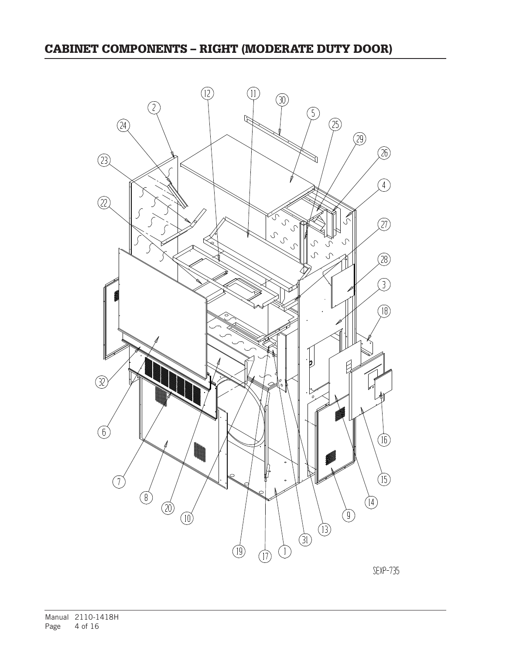# CABINET COMPONENTS – RIGHT (MODERATE DUTY DOOR)



SEXP-735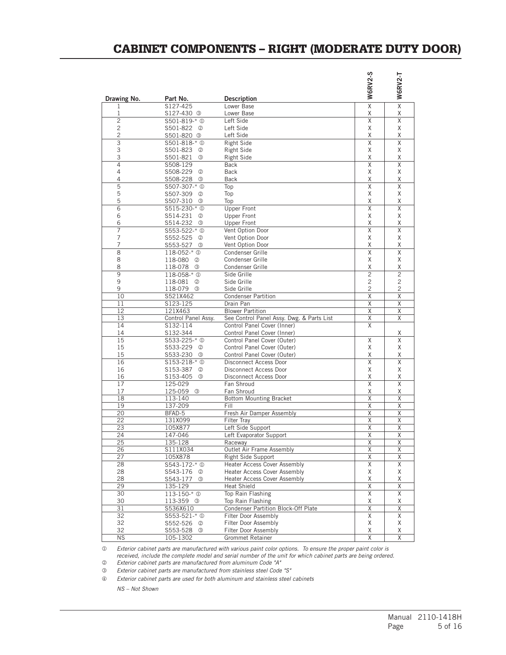## CABINET COMPONENTS – RIGHT (MODERATE DUTY DOOR)

|                  |                                           |                                              | <b>W6RV2-S</b>               | W6RV2-T                      |
|------------------|-------------------------------------------|----------------------------------------------|------------------------------|------------------------------|
| Drawing No.<br>1 | Part No.<br>S127-425                      | <b>Description</b><br>Lower Base             | $\overline{\mathsf{x}}$      | $\overline{\mathsf{x}}$      |
| 1                | S127-430 <sup>3</sup>                     | Lower Base                                   | χ                            | Χ                            |
| $\overline{c}$   | \$501-819-* <sup>0</sup>                  | Left Side                                    | X                            | Χ                            |
| 2                | S501-822<br>➁                             | Left Side                                    | Χ                            | Χ                            |
| $\overline{c}$   | S501-820 <sup>3</sup>                     | Left Side                                    | Χ                            | X                            |
| 3                | \$501-818-* <sup>0</sup>                  | <b>Right Side</b>                            | Χ                            | Χ                            |
| 3                | S501-823<br>➁                             | Right Side                                   | Χ                            | X                            |
| 3                | S501-821<br>$\circled{3}$                 | <b>Right Side</b>                            | Χ                            | Χ                            |
| 4                | S508-129                                  | <b>Back</b>                                  | Χ                            | X                            |
| 4                | S508-229<br>➁                             | <b>Back</b>                                  | Χ                            | Χ                            |
| 4                | S508-228<br>③                             | <b>Back</b>                                  | Χ                            | Χ                            |
| 5                | \$507-307-* <sup>0</sup>                  | Top                                          | Χ                            | X                            |
| 5<br>5           | S507-309<br>➁<br>$\circled{3}$            | Top                                          | Χ<br>Χ                       | Χ<br>Χ                       |
| 6                | S507-310                                  | Top<br><b>Upper Front</b>                    | Χ                            | X                            |
| 6                | \$515-230-* <sup>0</sup><br>S514-231<br>➁ | <b>Upper Front</b>                           | Χ                            | Χ                            |
| 6                | S514-232<br>$\circled{3}$                 | <b>Upper Front</b>                           | Χ                            | X                            |
| 7                | \$553-522-* <sup>0</sup>                  | Vent Option Door                             | X                            | X                            |
| 7                | S552-525<br>➁                             | Vent Option Door                             | χ                            | X                            |
| 7                | S553-527<br>③                             | Vent Option Door                             | χ                            | Χ                            |
| $\overline{8}$   | 118-052-* <sup>0</sup>                    | Condenser Grille                             | $\overline{\mathsf{x}}$      | $\overline{X}$               |
| 8                | 118-080<br>$^{\circledR}$                 | Condenser Grille                             | Χ                            | Χ                            |
| 8                | 118-078<br>0                              | Condenser Grille                             | Χ                            | χ                            |
| 9                | 118-058-* <sup>0</sup>                    | Side Grille                                  | $\overline{c}$               | $\overline{2}$               |
| 9                | 118-081<br>➁                              | Side Grille                                  | $\overline{c}$               | $\overline{c}$               |
| 9                | 118-079<br>$\circled{3}$                  | Side Grille                                  | $\overline{c}$               | 2                            |
| 10               | S521X462                                  | <b>Condenser Partition</b>                   | Χ                            | X                            |
| 11               | S123-125                                  | Drain Pan                                    | X                            | X                            |
| 12               | 121X463                                   | <b>Blower Partition</b>                      | X                            | X                            |
| 13               | Control Panel Assy.                       | See Control Panel Assy. Dwg. & Parts List    | Χ                            | X                            |
| 14               | S132-114                                  | Control Panel Cover (Inner)                  | X                            |                              |
| 14               | S132-344                                  | Control Panel Cover (Inner)                  |                              | Χ                            |
| 15               | \$533-225-* <sup>0</sup>                  | Control Panel Cover (Outer)                  | Χ                            | X                            |
| 15               | S533-229<br>➁                             | Control Panel Cover (Outer)                  | Χ                            | X                            |
| 15               | S533-230<br>③                             | Control Panel Cover (Outer)                  | Χ                            | χ                            |
| 16               | \$153-218-* <sup>0</sup>                  | Disconnect Access Door                       | Χ                            | X                            |
| 16               | S153-387<br>➁                             | Disconnect Access Door                       | X                            | X                            |
| 16               | S153-405<br>$\circled{3}$                 | Disconnect Access Door                       | Χ<br>$\overline{\mathsf{X}}$ | χ<br>$\overline{\mathsf{X}}$ |
| 17               | 125-029                                   | Fan Shroud                                   |                              |                              |
| 17<br>18         | 125-059<br>$\circled{3}$<br>113-140       | Fan Shroud<br><b>Bottom Mounting Bracket</b> | Χ<br>Χ                       | Χ<br>X                       |
| 19               | 137-209                                   | Fill                                         | Χ                            | χ                            |
| 20               | BFAD-5                                    | Fresh Air Damper Assembly                    | Χ                            | Χ                            |
| 22               | 131X099                                   | <b>Filter Tray</b>                           | Χ                            | Χ                            |
| 23               | 105X877                                   | Left Side Support                            | X                            | Χ                            |
| 24               | 147-046                                   | Left Evaporator Support                      | Χ                            | Χ                            |
| 25               | $135 - 128$                               | Raceway                                      | X                            | X                            |
| 26               | S111X034                                  | Outlet Air Frame Assembly                    | Χ                            | Χ                            |
| 27               | 105X878                                   | Right Side Support                           | Χ                            | χ                            |
| 28               | \$543-172-* <sup>0</sup>                  | Heater Access Cover Assembly                 | Χ                            | Χ                            |
| 28               | S543-176<br>➁                             | Heater Access Cover Assembly                 | Χ                            | Χ                            |
| 28               | S543-177<br>$\circled{3}$                 | Heater Access Cover Assembly                 | Χ                            | Χ                            |
| 29               | 135-129                                   | <b>Heat Shield</b>                           | $\overline{\mathsf{X}}$      | $\overline{\mathsf{X}}$      |
| 30               | 113-150-* <sup>0</sup>                    | Top Rain Flashing                            | χ                            | Χ                            |
| 30               | 113-359 3                                 | Top Rain Flashing                            | Χ                            | Χ                            |
| 31               | S536X610                                  | Condenser Partition Block-Off Plate          | Χ                            | Χ                            |
| 32               | \$553-521-* 0                             | Filter Door Assembly                         | Χ                            | Χ                            |
| 32               | S552-526<br>☺                             | Filter Door Assembly                         | Χ                            | Χ                            |
| 32               | S553-528<br>☺                             | Filter Door Assembly                         | Χ                            | Χ                            |
| <b>NS</b>        | 105-1302                                  | <b>Grommet Retainer</b>                      | χ                            | χ                            |

 *Exterior cabinet parts are manufactured with various paint color options. To ensure the proper paint color is received, include the complete model and serial number of the unit for which cabinet parts are being ordered. Exterior cabinet parts are manufactured from aluminum Code "A"*

 *Exterior cabinet parts are manufactured from stainless steel Code "S"*

*Exterior cabinet parts are used for both aluminum and stainless steel cabinets*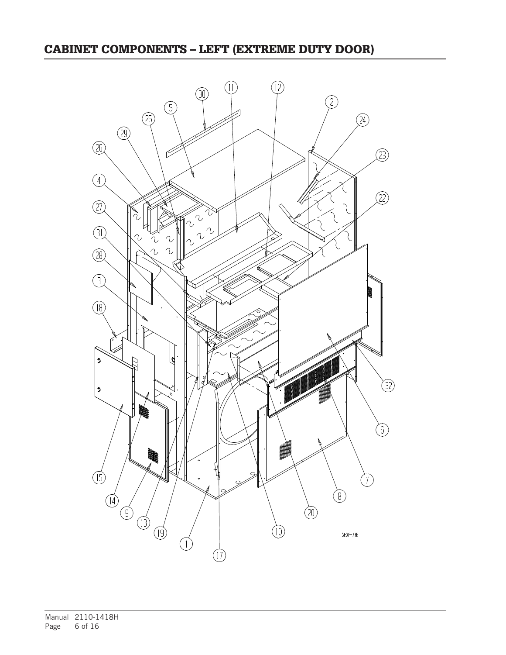## CABINET COMPONENTS – LEFT (EXTREME DUTY DOOR)

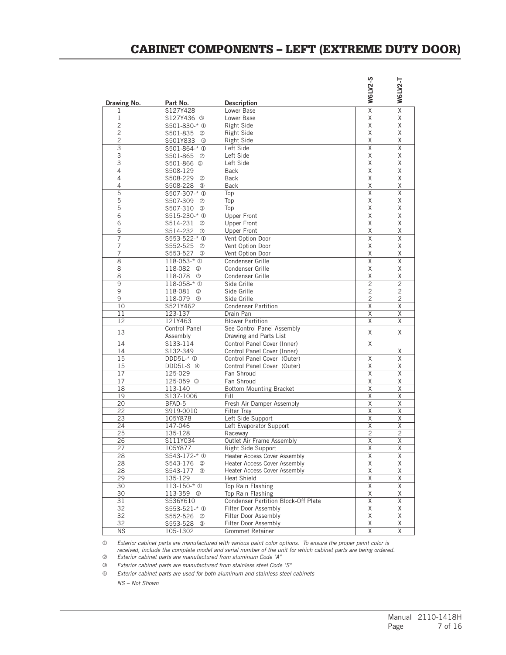### CABINET COMPONENTS – LEFT (EXTREME DUTY DOOR)

|                     |                                                       |                                           | <b>W6LV2-S</b>               | <b>W6LV2-T</b>          |
|---------------------|-------------------------------------------------------|-------------------------------------------|------------------------------|-------------------------|
| Drawing No.         | Part No.                                              | <b>Description</b>                        |                              | $\overline{\mathsf{x}}$ |
| 1                   | S127Y428                                              | Lower Base                                | $\overline{\mathsf{x}}$      |                         |
| 1<br>$\overline{c}$ | S127Y436 <sup>3</sup>                                 | Lower Base                                | Χ<br>X                       | Χ<br>$\overline{X}$     |
| $\overline{c}$      | \$501-830-* <sup>0</sup><br>S501-835<br>$\circled{2}$ | Right Side<br><b>Right Side</b>           | Χ                            | X                       |
| $\overline{c}$      | S501Y833<br>$\circled{3}$                             | Right Side                                | Χ                            | X                       |
| $\overline{3}$      | \$501-864-* <sup>0</sup>                              | Left Side                                 | $\overline{X}$               | $\overline{X}$          |
| 3                   | S501-865<br>$\circled{2}$                             | Left Side                                 | Χ                            | X                       |
| 3                   | S501-866 <sup>3</sup>                                 | Left Side                                 | Χ                            | Χ                       |
| $\overline{4}$      | S508-129                                              | <b>Back</b>                               | $\overline{\mathsf{x}}$      | $\overline{X}$          |
| 4                   | S508-229<br>$^{\circledR}$                            | <b>Back</b>                               | Χ                            | X                       |
| 4                   | S508-228<br>$\circled{3}$                             | <b>Back</b>                               | Χ                            | Χ                       |
| $\overline{5}$      | S507-307-* <sup>0</sup>                               | Top                                       | $\overline{\mathsf{x}}$      | $\overline{\mathsf{x}}$ |
| 5                   | S507-309<br>$^{\circledR}$                            | Top                                       | Χ                            | Χ                       |
| 5                   | S507-310<br>$\circled{3}$                             | Top                                       | Χ                            | Χ                       |
| $\overline{6}$      | \$515-230-* <sup>0</sup>                              | <b>Upper Front</b>                        | X                            | $\sf X$                 |
| 6                   | S514-231<br>(2)                                       | Upper Front                               | Χ                            | Χ                       |
| 6                   | S514-232<br>$\circled{3}$                             | <b>Upper Front</b>                        | Χ                            | Χ                       |
| $\overline{7}$      | \$553-522-* 0                                         | Vent Option Door                          | $\overline{\mathsf{x}}$      | $\overline{\mathsf{x}}$ |
| $\overline{7}$      | S552-525<br>$\circled{2}$                             | Vent Option Door                          | Χ                            | Χ                       |
| $\overline{7}$      | S553-527<br>$\circled{3}$                             | Vent Option Door                          | Χ                            | Χ                       |
| 8                   | 118-053-* <sup>0</sup>                                | Condenser Grille                          | $\overline{\mathsf{X}}$      | $\overline{X}$          |
| 8                   | 118-082<br>$\circled{2}$                              | Condenser Grille                          | Χ                            | Χ                       |
| 8                   | 118-078<br>$\circled{3}$                              | Condenser Grille                          | Χ                            | Χ                       |
| 9                   | 118-058-* <sup>0</sup>                                | Side Grille                               | $\overline{c}$               | $\overline{2}$          |
| 9                   | 118-081<br>(2)                                        | Side Grille                               | 2                            | $\overline{c}$          |
| 9                   | 118-079<br>$\circled{3}$                              | Side Grille                               | $\overline{c}$               | $\overline{c}$          |
| 10                  | S521Y462                                              | <b>Condenser Partition</b>                | Χ                            | $\overline{\mathsf{X}}$ |
| 11                  | 123-137                                               | Drain Pan                                 | Χ                            | Χ                       |
| 12                  | 121Y463                                               | <b>Blower Partition</b>                   | Χ                            | X                       |
| 13                  | Control Panel                                         | See Control Panel Assembly                | X                            | X                       |
|                     | Assembly                                              | Drawing and Parts List                    |                              |                         |
| 14                  | S133-114                                              | Control Panel Cover (Inner)               | Χ                            |                         |
| 14                  | S132-349                                              | Control Panel Cover (Inner)               |                              | Χ<br>$\overline{X}$     |
| 15                  | $DDD5L-*$ <sup><math>\circ</math></sup>               | Control Panel Cover (Outer)               | X                            |                         |
| 15<br>17            | DDD5L-S 4                                             | Control Panel Cover (Outer)<br>Fan Shroud | Χ<br>$\overline{\mathsf{x}}$ | Χ<br>X                  |
| 17                  | 125-029<br>125-059 <sup>3</sup>                       | Fan Shroud                                | Χ                            | Χ                       |
| 18                  | 113-140                                               | <b>Bottom Mounting Bracket</b>            | $\overline{\mathsf{x}}$      | $\overline{\mathsf{x}}$ |
| 19                  | S137-1006                                             | Fill                                      | $\overline{\mathsf{x}}$      | $\overline{X}$          |
| $\overline{20}$     | BFAD-5                                                | Fresh Air Damper Assembly                 | $\overline{\mathsf{x}}$      | $\overline{X}$          |
| $\overline{22}$     | S919-0010                                             | <b>Filter Tray</b>                        | $\overline{\mathsf{x}}$      | $\overline{X}$          |
| $\overline{23}$     | 105Y878                                               | Left Side Support                         | $\overline{\mathsf{x}}$      | $\overline{X}$          |
| 24                  | 147-046                                               | Left Evaporator Support                   | $\overline{\mathsf{x}}$      | $\overline{X}$          |
| 25                  | 135-128                                               | Raceway                                   | $\overline{c}$               | $\overline{c}$          |
| 26                  | S111Y034                                              | Outlet Air Frame Assembly                 | X                            | Χ                       |
| $\overline{27}$     | 105Y877                                               | Right Side Support                        | $\times$                     | $\times$                |
| 28                  | \$543-172-* <sup>0</sup>                              | <b>Heater Access Cover Assembly</b>       | $\overline{\mathsf{X}}$      | $\overline{\mathsf{X}}$ |
| 28                  | S543-176<br>②                                         | Heater Access Cover Assembly              | Χ                            | Χ                       |
| 28                  | S543-177<br>$\circled{3}$                             | <b>Heater Access Cover Assembly</b>       | Χ                            | Χ                       |
| 29                  | 135-129                                               | <b>Heat Shield</b>                        | Χ                            | Χ                       |
| 30                  | $113 - 150 - * ①$                                     | Top Rain Flashing                         | X                            | X                       |
| 30                  | 113-359 3                                             | Top Rain Flashing                         | Χ                            | Χ                       |
| 31                  | S536Y610                                              | Condenser Partition Block-Off Plate       | Χ                            | X                       |
| 32                  | \$553-521-* 0                                         | Filter Door Assembly                      | Χ                            | Χ                       |
| 32                  | S552-526 <sup>②</sup>                                 | Filter Door Assembly                      | Χ                            | Χ                       |
| 32                  | S553-528 3                                            | Filter Door Assembly                      | Χ                            | Χ                       |
| <b>NS</b>           | 105-1302                                              | <b>Grommet Retainer</b>                   | X                            | Χ                       |

 *Exterior cabinet parts are manufactured with various paint color options. To ensure the proper paint color is received, include the complete model and serial number of the unit for which cabinet parts are being ordered. Exterior cabinet parts are manufactured from aluminum Code "A"*

 *Exterior cabinet parts are manufactured from stainless steel Code "S"*

*Exterior cabinet parts are used for both aluminum and stainless steel cabinets*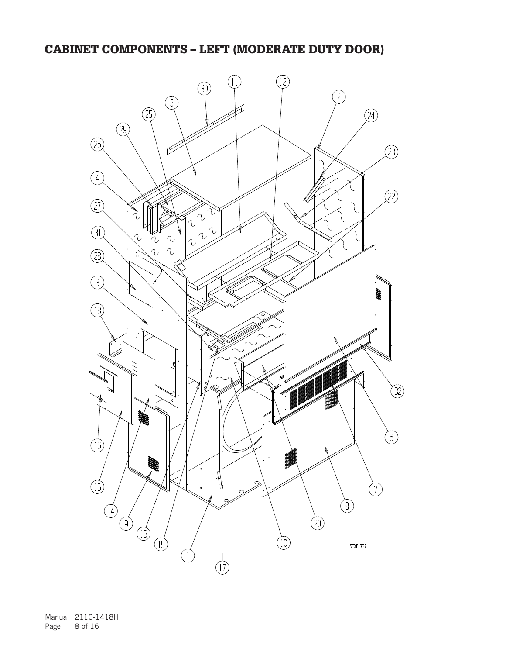## CABINET COMPONENTS – LEFT (MODERATE DUTY DOOR)

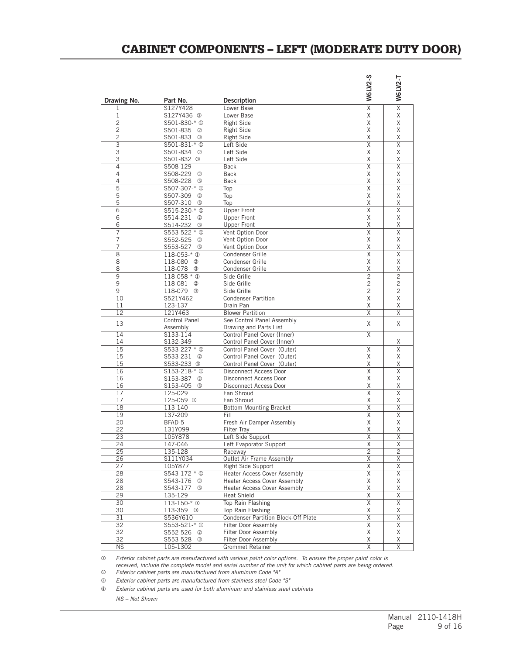### CABINET COMPONENTS – LEFT (MODERATE DUTY DOOR)

|                     |                                       |                                      | W6LV2-S                      | <b>W6LV2-T</b>               |
|---------------------|---------------------------------------|--------------------------------------|------------------------------|------------------------------|
| Drawing No.         | Part No.                              | <b>Description</b>                   |                              | $\overline{\mathsf{x}}$      |
| 1<br>1              | S127Y428<br>S127Y436 3                | Lower Base<br>Lower Base             | $\overline{\mathsf{x}}$<br>Χ | Χ                            |
| $\overline{2}$      | \$501-830-* <sup>0</sup>              | <b>Right Side</b>                    | X                            | $\overline{\mathsf{x}}$      |
| 2                   | S501-835<br>➁                         | <b>Right Side</b>                    | Χ                            | χ                            |
| 2                   | S501-833<br>$\circled{3}$             | Right Side                           | X                            | X                            |
| $\overline{3}$      | S501-831-* <sup>0</sup>               | Left Side                            | X                            | X                            |
| 3                   | S501-834<br>$^{\circledR}$            | Left Side                            | X                            | X                            |
| 3                   | S501-832 <sup>3</sup>                 | Left Side                            | Χ                            | Χ                            |
| 4                   | S508-129                              | <b>Back</b>                          | $\overline{X}$               | $\overline{\mathsf{x}}$      |
| 4                   | S508-229<br>➁                         | Back                                 | Χ                            | Χ                            |
| 4                   | S508-228<br>0                         | Back                                 | Χ                            | χ                            |
| 5                   | S507-307-* <sup>0</sup>               | Top                                  | X                            | X                            |
| 5                   | S507-309<br>➁                         | Top                                  | Χ                            | χ                            |
| 5                   | S507-310<br>$\circled{3}$             | Top                                  | X                            | Χ                            |
| 6                   | \$515-230-* <sup>0</sup>              | <b>Upper Front</b>                   | X                            | X                            |
| 6                   | S514-231<br>$^{\circledR}$            | <b>Upper Front</b>                   | X                            | X                            |
| 6                   | S514-232<br>3                         | <b>Upper Front</b>                   | Χ                            | χ                            |
| 7                   | \$553-522-* @                         | Vent Option Door                     | X                            | X                            |
| 7                   | S552-525<br>2                         | Vent Option Door                     | Χ                            | Χ                            |
| 7<br>$\overline{8}$ | S553-527<br>0                         | Vent Option Door                     | Χ<br>X                       | Χ<br>$\overline{\mathsf{x}}$ |
| 8                   | 118-053-* <sup>0</sup>                | Condenser Grille<br>Condenser Grille | Χ                            | χ                            |
| 8                   | 118-080<br>➁<br>118-078<br>0          | Condenser Grille                     | Χ                            | χ                            |
| 9                   | 118-058-* <sup>0</sup>                | Side Grille                          | $\overline{2}$               | $\overline{2}$               |
| 9                   | 118-081<br>$\circled{2}$              | Side Grille                          | $\overline{c}$               | 2                            |
| 9                   | 118-079<br>$\circled{3}$              | Side Grille                          | 2                            | $\overline{c}$               |
| 10                  | S521Y462                              | <b>Condenser Partition</b>           | X                            | X                            |
| 11                  | 123-137                               | Drain Pan                            | Χ                            | Χ                            |
| 12                  | 121Y463                               | <b>Blower Partition</b>              | Χ                            | χ                            |
|                     | Control Panel                         | See Control Panel Assembly           |                              |                              |
| 13                  | Assembly                              | Drawing and Parts List               | χ                            | X                            |
| 14                  | S133-114                              | Control Panel Cover (Inner)          | X                            |                              |
| 14                  | S132-349                              | Control Panel Cover (Inner)          |                              | Χ                            |
| 15                  | \$533-227-* <sup>0</sup>              | Control Panel Cover (Outer)          | Χ                            | X                            |
| 15                  | S533-231<br>$\circled{2}$             | Control Panel Cover (Outer)          | X                            | Χ                            |
| 15                  | S533-233<br>$\circled{3}$             | Control Panel Cover (Outer)          | Χ                            | χ                            |
| 16                  | \$153-218-* <sup>0</sup>              | Disconnect Access Door               | X                            | X                            |
| 16                  | S153-387<br>2                         | Disconnect Access Door               | Χ                            | Χ                            |
| 16                  | S153-405<br>3                         | Disconnect Access Door               | Χ                            | Χ                            |
| 17<br>17            | 125-029<br>125-059 3                  | Fan Shroud<br>Fan Shroud             | $\overline{X}$<br>Χ          | $\overline{\mathsf{x}}$<br>Χ |
| 18                  | 113-140                               | <b>Bottom Mounting Bracket</b>       | Χ                            | Χ                            |
| 19                  | 137-209                               | Fill                                 | X                            | X                            |
| 20                  | BFAD-5                                | Fresh Air Damper Assembly            | X                            | X                            |
| 22                  | 131Y099                               | <b>Filter Tray</b>                   | Χ                            | Χ                            |
| 23                  | 105Y878                               | Left Side Support                    | Χ                            | Χ                            |
| 24                  | 147-046                               | Left Evaporator Support              | X                            | X                            |
| 25                  | 135-128                               | Raceway                              | $\overline{c}$               | 2                            |
| 26                  | S111Y034                              | Outlet Air Frame Assembly            | $\overline{X}$               | $\overline{X}$               |
| 27                  | 105Y877                               | Right Side Support                   | χ                            | χ                            |
| 28                  | S543-172-* <sup>0</sup>               | <b>Heater Access Cover Assembly</b>  | Χ                            | Χ                            |
| 28                  | S543-176<br>$^{\circledR}$            | <b>Heater Access Cover Assembly</b>  | Χ                            | Χ                            |
| 28                  | S543-177<br>$\circled{3}$             | <b>Heater Access Cover Assembly</b>  | Χ                            | Χ                            |
| 29                  | 135-129                               | <b>Heat Shield</b>                   | $\overline{\mathsf{X}}$      | $\overline{\mathsf{x}}$      |
| 30                  | 113-150-* <sup>0</sup>                | Top Rain Flashing                    | Χ                            | X                            |
| 30                  | 113-359 <sup>3</sup>                  | Top Rain Flashing                    | Χ                            | Χ                            |
| 31                  | S536Y610                              | Condenser Partition Block-Off Plate  | $\overline{\mathsf{X}}$      | $\overline{\mathsf{X}}$      |
| 32                  | \$553-521-* 0                         | Filter Door Assembly                 | $\overline{\mathsf{X}}$      | $\overline{\mathsf{X}}$      |
| 32                  | S552-526<br>$^{\circledR}$            | Filter Door Assembly                 | X                            | Χ                            |
| 32                  | S553-528<br>$\circled{3}$<br>105-1302 | Filter Door Assembly                 | Χ                            | Χ                            |
| N <sub>S</sub>      |                                       | Grommet Retainer                     | $\overline{\mathsf{X}}$      | $\overline{\mathsf{X}}$      |

 *Exterior cabinet parts are manufactured with various paint color options. To ensure the proper paint color is received, include the complete model and serial number of the unit for which cabinet parts are being ordered.*

 *Exterior cabinet parts are manufactured from aluminum Code "A"*

 *Exterior cabinet parts are manufactured from stainless steel Code "S"*

*Exterior cabinet parts are used for both aluminum and stainless steel cabinets*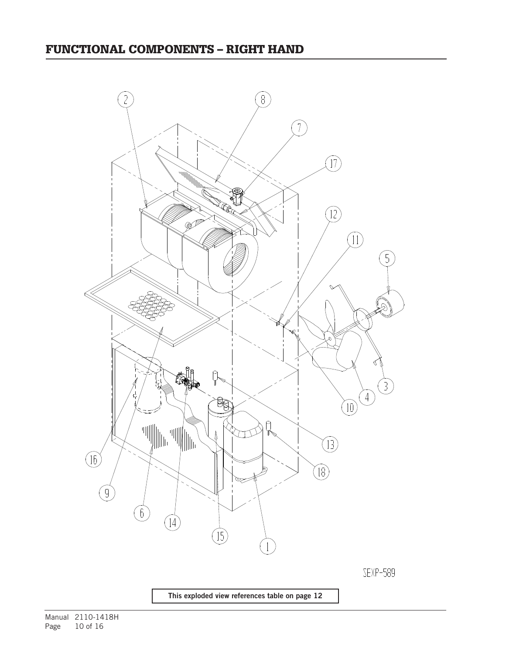

This exploded view references table on page 12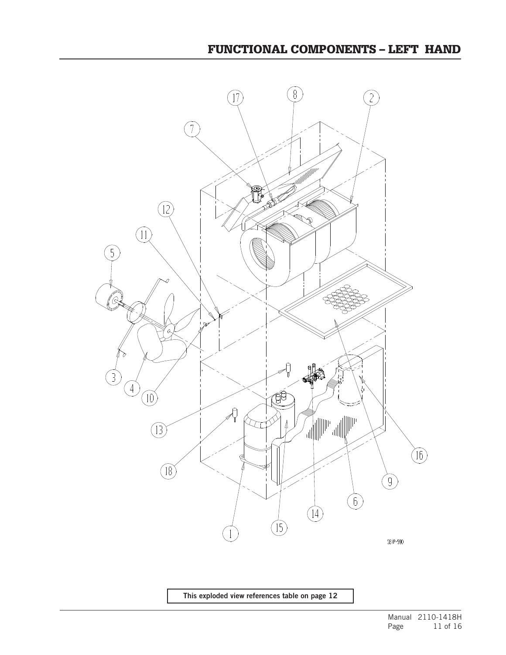

This exploded view references table on page 12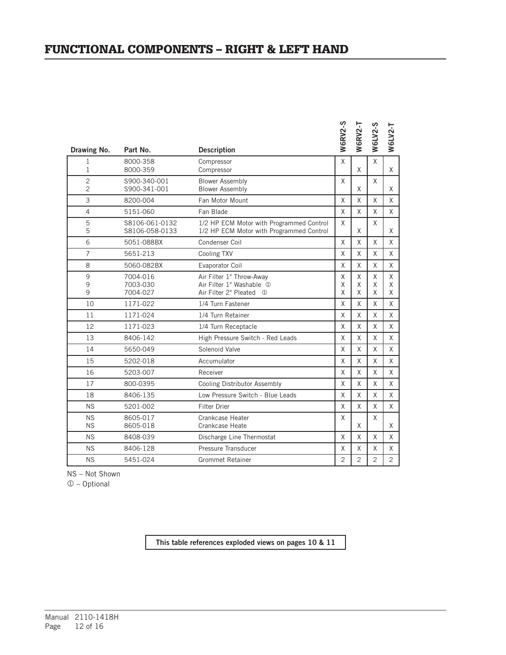### FUNCTIONAL COMPONENTS – RIGHT & LEFT HAND

| Drawing No.                      | Part No.                         | <b>Description</b>                                                                   | <b>W6RV2-S</b> | <b>N6RV2-T</b> | <b>W6LV2-S</b> | W6LV2-T        |
|----------------------------------|----------------------------------|--------------------------------------------------------------------------------------|----------------|----------------|----------------|----------------|
| 1<br>1                           | 8000-358<br>8000-359             | Compressor<br>Compressor                                                             | X              | X              | X              | X              |
| $\overline{c}$<br>$\overline{c}$ | S900-340-001<br>S900-341-001     | <b>Blower Assembly</b><br><b>Blower Assembly</b>                                     | X              | X              | X              | X              |
| 3                                | 8200-004                         | Fan Motor Mount                                                                      | X              | X              | X              | X              |
| $\overline{4}$                   | 5151-060                         | Fan Blade                                                                            | X              | X              | X              | X              |
| 5<br>5                           | S8106-061-0132<br>S8106-058-0133 | 1/2 HP ECM Motor with Programmed Control<br>1/2 HP ECM Motor with Programmed Control | X              | X              | Χ              | X              |
| 6                                | 5051-088BX                       | Condenser Coil                                                                       | X              | X              | X              | X              |
| $\overline{7}$                   | 5651-213                         | Cooling TXV                                                                          | X              | X              | X              | X              |
| 8                                | 5060-082BX                       | Evaporator Coil                                                                      | X              | X              | X              | X              |
| 9<br>9<br>9                      | 7004-016<br>7003-030<br>7004-027 | Air Filter 1" Throw-Away<br>Air Filter 1" Washable 1<br>Air Filter 2" Pleated 1      | X<br>X<br>X    | X<br>X<br>X    | X<br>X<br>X    | X<br>X<br>X    |
| 10                               | 1171-022                         | 1/4 Turn Fastener                                                                    | X              | X              | X              | X              |
| 11                               | 1171-024                         | 1/4 Turn Retainer                                                                    | X              | X              | Χ              | X              |
| 12                               | 1171-023                         | 1/4 Turn Receptacle                                                                  | X              | X              | X              | X              |
| 13                               | 8406-142                         | High Pressure Switch - Red Leads                                                     | X              | X              | X              | X              |
| 14                               | 5650-049                         | Solenoid Valve                                                                       | X              | X              | X              | X              |
| 15                               | 5202-018                         | Accumulator                                                                          | X              | X              | X              | X              |
| 16                               | 5203-007                         | Receiver                                                                             | X              | X              | X              | X              |
| 17                               | 800-0395                         | Cooling Distributor Assembly                                                         | X              | X              | X              | X              |
| 18                               | 8406-135                         | Low Pressure Switch - Blue Leads                                                     | X              | X              | X              | X              |
| <b>NS</b>                        | 5201-002                         | <b>Filter Drier</b>                                                                  | X              | X              | X              | X              |
| <b>NS</b><br><b>NS</b>           | 8605-017<br>8605-018             | Crankcase Heater<br>Crankcase Heate                                                  | X              | X              | X              | X              |
| <b>NS</b>                        | 8408-039                         | Discharge Line Thermostat                                                            | X              | X              | X              | X              |
| <b>NS</b>                        | 8406-128                         | Pressure Transducer                                                                  | X              | X              | X              | X              |
| <b>NS</b>                        | 5451-024                         | <b>Grommet Retainer</b>                                                              | $\overline{c}$ | $\overline{2}$ | $\overline{c}$ | $\overline{c}$ |
|                                  |                                  |                                                                                      |                |                |                |                |

NS – Not Shown

 – Optional

This table references exploded views on pages 10 & 11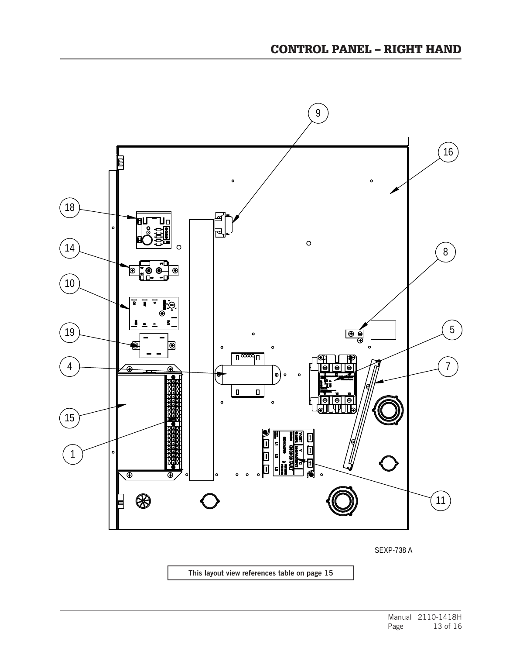

SEXP-738 A

This layout view references table on page 15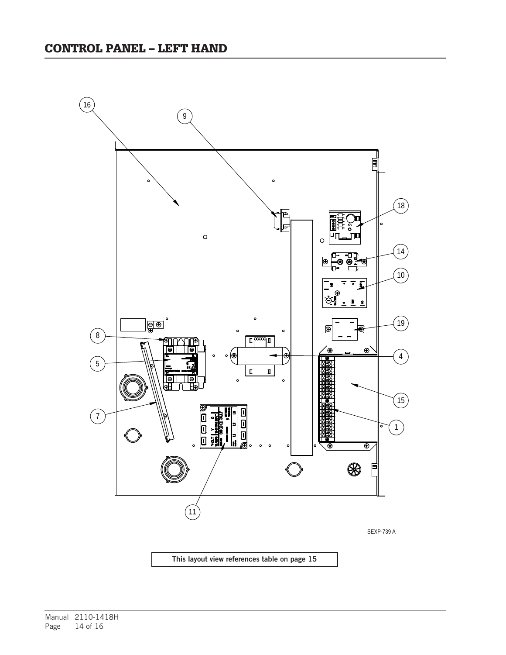

Manual 2110-1418H Page 14 of 16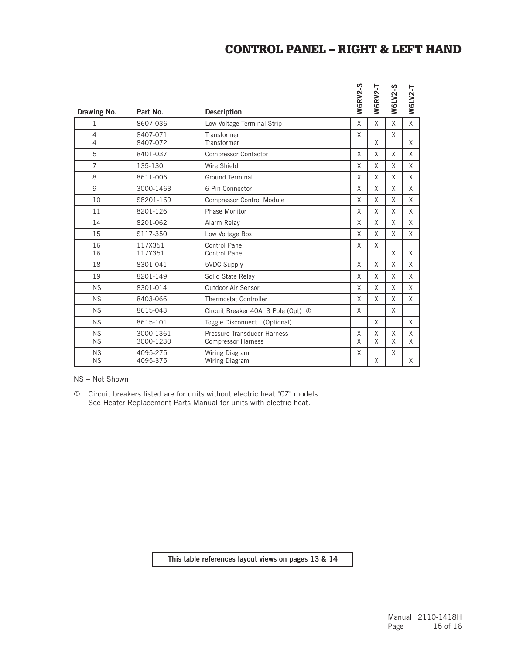|                        |                        |                                                          | <b>NGRV2-S</b> | W6RV2-T | <b>W6LV2-S</b> | W6LV2-T      |
|------------------------|------------------------|----------------------------------------------------------|----------------|---------|----------------|--------------|
| Drawing No.            | Part No.               | <b>Description</b>                                       |                |         |                |              |
| 1                      | 8607-036               | Low Voltage Terminal Strip                               | X              | X       | X              | $\mathsf{X}$ |
| 4<br>4                 | 8407-071<br>8407-072   | Transformer<br>Transformer                               | X              | X       | X              | X            |
| 5                      | 8401-037               | <b>Compressor Contactor</b>                              | X              | X       | X              | X            |
| $\overline{7}$         | 135-130                | Wire Shield                                              | X              | X       | X              | X            |
| 8                      | 8611-006               | <b>Ground Terminal</b>                                   | X              | X       | X              | X            |
| 9                      | 3000-1463              | 6 Pin Connector                                          | X              | X       | X              | X            |
| 10                     | S8201-169              | <b>Compressor Control Module</b>                         | X              | X       | X              | X            |
| 11                     | 8201-126               | Phase Monitor                                            | X              | X       | X              | X            |
| 14                     | 8201-062               | Alarm Relay                                              | X              | X       | X              | X            |
| 15                     | S117-350               | Low Voltage Box                                          | X              | X       | X              | X            |
| 16<br>16               | 117X351<br>117Y351     | Control Panel<br>Control Panel                           | X              | X       | X              | X            |
| 18                     | 8301-041               | 5VDC Supply                                              | X              | X       | X              | X            |
| 19                     | 8201-149               | Solid State Relay                                        | X              | X       | X              | X            |
| <b>NS</b>              | 8301-014               | Outdoor Air Sensor                                       | X              | X       | X              | X            |
| <b>NS</b>              | 8403-066               | <b>Thermostat Controller</b>                             | X              | X       | X              | X            |
| <b>NS</b>              | 8615-043               | Circuit Breaker 40A 3 Pole (Opt) 1                       | $\mathsf{X}$   |         | X              |              |
| <b>NS</b>              | 8615-101               | Toggle Disconnect (Optional)                             |                | X       |                | X            |
| <b>NS</b><br><b>NS</b> | 3000-1361<br>3000-1230 | Pressure Transducer Harness<br><b>Compressor Harness</b> | X<br>$\sf X$   | X<br>X  | X<br>X         | X<br>X       |
| <b>NS</b><br><b>NS</b> | 4095-275<br>4095-375   | Wiring Diagram<br>Wiring Diagram                         | X              | X       | X              | X            |

NS – Not Shown

 Circuit breakers listed are for units without electric heat "0Z" models. See Heater Replacement Parts Manual for units with electric heat.

This table references layout views on pages 13 & 14